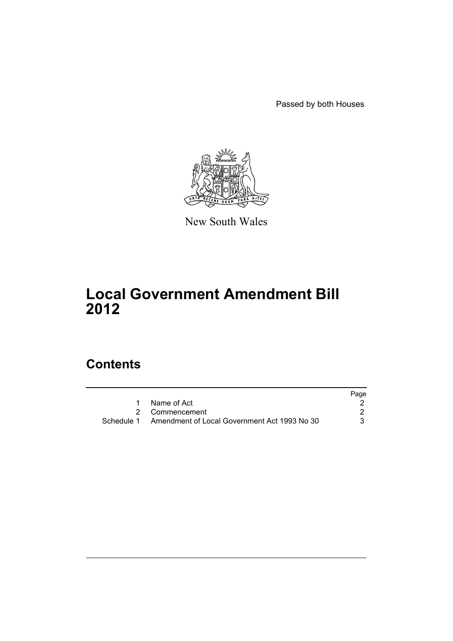Passed by both Houses



New South Wales

# **Local Government Amendment Bill 2012**

# **Contents**

|                                                         | Page |
|---------------------------------------------------------|------|
| 1 Name of Act                                           |      |
| 2 Commencement                                          |      |
| Schedule 1 Amendment of Local Government Act 1993 No 30 |      |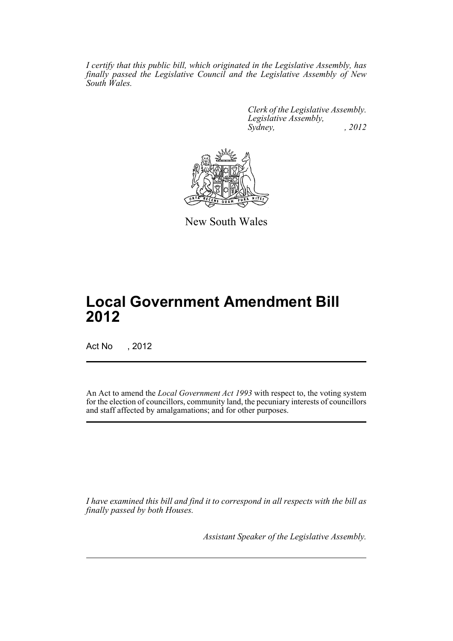*I certify that this public bill, which originated in the Legislative Assembly, has finally passed the Legislative Council and the Legislative Assembly of New South Wales.*

> *Clerk of the Legislative Assembly. Legislative Assembly, Sydney, , 2012*



New South Wales

# **Local Government Amendment Bill 2012**

Act No , 2012

An Act to amend the *Local Government Act 1993* with respect to, the voting system for the election of councillors, community land, the pecuniary interests of councillors and staff affected by amalgamations; and for other purposes.

*I have examined this bill and find it to correspond in all respects with the bill as finally passed by both Houses.*

*Assistant Speaker of the Legislative Assembly.*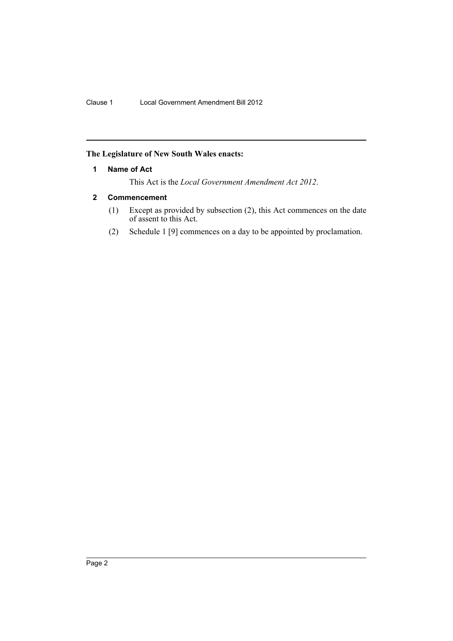# <span id="page-3-0"></span>**The Legislature of New South Wales enacts:**

### **1 Name of Act**

This Act is the *Local Government Amendment Act 2012*.

# <span id="page-3-1"></span>**2 Commencement**

- (1) Except as provided by subsection (2), this Act commences on the date of assent to this Act.
- (2) Schedule 1 [9] commences on a day to be appointed by proclamation.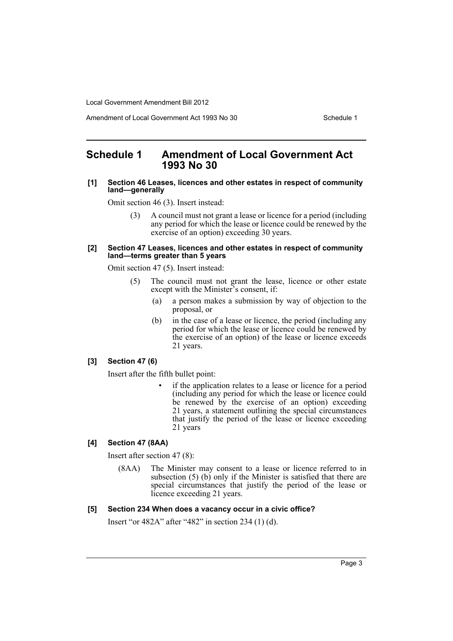Local Government Amendment Bill 2012

Amendment of Local Government Act 1993 No 30 Schedule 1

# <span id="page-4-0"></span>**Schedule 1 Amendment of Local Government Act 1993 No 30**

#### **[1] Section 46 Leases, licences and other estates in respect of community land—generally**

Omit section 46 (3). Insert instead:

(3) A council must not grant a lease or licence for a period (including any period for which the lease or licence could be renewed by the exercise of an option) exceeding 30 years.

#### **[2] Section 47 Leases, licences and other estates in respect of community land—terms greater than 5 years**

Omit section 47 (5). Insert instead:

- (5) The council must not grant the lease, licence or other estate except with the Minister's consent, if:
	- (a) a person makes a submission by way of objection to the proposal, or
	- (b) in the case of a lease or licence, the period (including any period for which the lease or licence could be renewed by the exercise of an option) of the lease or licence exceeds 21 years.

# **[3] Section 47 (6)**

Insert after the fifth bullet point:

• if the application relates to a lease or licence for a period (including any period for which the lease or licence could be renewed by the exercise of an option) exceeding 21 years, a statement outlining the special circumstances that justify the period of the lease or licence exceeding 21 years

# **[4] Section 47 (8AA)**

Insert after section 47 (8):

(8AA) The Minister may consent to a lease or licence referred to in subsection (5) (b) only if the Minister is satisfied that there are special circumstances that justify the period of the lease or licence exceeding 21 years.

### **[5] Section 234 When does a vacancy occur in a civic office?**

Insert "or 482A" after "482" in section 234 (1) (d).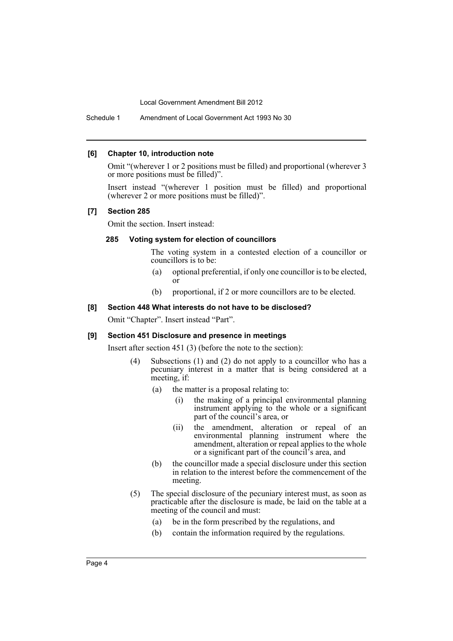Local Government Amendment Bill 2012

Schedule 1 Amendment of Local Government Act 1993 No 30

#### **[6] Chapter 10, introduction note**

Omit "(wherever 1 or 2 positions must be filled) and proportional (wherever 3 or more positions must be filled)".

Insert instead "(wherever 1 position must be filled) and proportional (wherever 2 or more positions must be filled)".

#### **[7] Section 285**

Omit the section. Insert instead:

#### **285 Voting system for election of councillors**

The voting system in a contested election of a councillor or councillors is to be:

- (a) optional preferential, if only one councillor is to be elected, or
- (b) proportional, if 2 or more councillors are to be elected.

#### **[8] Section 448 What interests do not have to be disclosed?**

Omit "Chapter". Insert instead "Part".

#### **[9] Section 451 Disclosure and presence in meetings**

Insert after section 451 (3) (before the note to the section):

- (4) Subsections (1) and (2) do not apply to a councillor who has a pecuniary interest in a matter that is being considered at a meeting, if:
	- (a) the matter is a proposal relating to:
		- (i) the making of a principal environmental planning instrument applying to the whole or a significant part of the council's area, or
		- (ii) the amendment, alteration or repeal of an environmental planning instrument where the amendment, alteration or repeal applies to the whole or a significant part of the council's area, and
	- (b) the councillor made a special disclosure under this section in relation to the interest before the commencement of the meeting.
- (5) The special disclosure of the pecuniary interest must, as soon as practicable after the disclosure is made, be laid on the table at a meeting of the council and must:
	- (a) be in the form prescribed by the regulations, and
	- (b) contain the information required by the regulations.